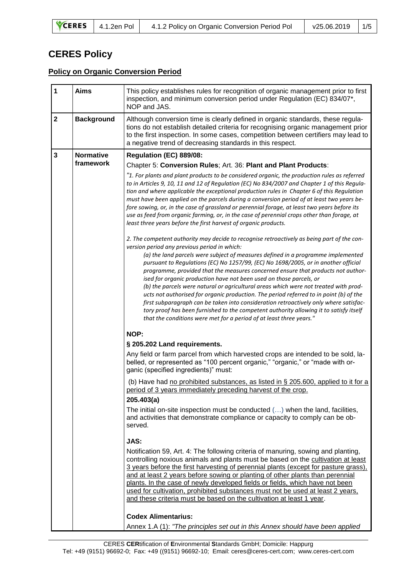|  | CERES 4.1.2en Pol | 4.1.2 Policy on Organic Conversion Period Pol | v25.06.2019 1/5 |  |
|--|-------------------|-----------------------------------------------|-----------------|--|
|--|-------------------|-----------------------------------------------|-----------------|--|

## **CERES Policy**

## **Policy on Organic Conversion Period**

| $\mathbf 1$             | <b>Aims</b>       | This policy establishes rules for recognition of organic management prior to first<br>inspection, and minimum conversion period under Regulation (EC) 834/07*,<br>NOP and JAS.                                                                                                                                                                                                                                                                                                                                                                                                                                                                                                                                                                                                                                                                                                                                              |  |  |  |
|-------------------------|-------------------|-----------------------------------------------------------------------------------------------------------------------------------------------------------------------------------------------------------------------------------------------------------------------------------------------------------------------------------------------------------------------------------------------------------------------------------------------------------------------------------------------------------------------------------------------------------------------------------------------------------------------------------------------------------------------------------------------------------------------------------------------------------------------------------------------------------------------------------------------------------------------------------------------------------------------------|--|--|--|
| $\overline{\mathbf{2}}$ | <b>Background</b> | Although conversion time is clearly defined in organic standards, these regula-<br>tions do not establish detailed criteria for recognising organic management prior<br>to the first inspection. In some cases, competition between certifiers may lead to<br>a negative trend of decreasing standards in this respect.                                                                                                                                                                                                                                                                                                                                                                                                                                                                                                                                                                                                     |  |  |  |
| $\mathbf{3}$            | <b>Normative</b>  | Regulation (EC) 889/08:                                                                                                                                                                                                                                                                                                                                                                                                                                                                                                                                                                                                                                                                                                                                                                                                                                                                                                     |  |  |  |
|                         | framework         | Chapter 5: Conversion Rules; Art. 36: Plant and Plant Products:                                                                                                                                                                                                                                                                                                                                                                                                                                                                                                                                                                                                                                                                                                                                                                                                                                                             |  |  |  |
|                         |                   | "1. For plants and plant products to be considered organic, the production rules as referred<br>to in Articles 9, 10, 11 and 12 of Regulation (EC) No 834/2007 and Chapter 1 of this Regula-<br>tion and where applicable the exceptional production rules in Chapter 6 of this Regulation<br>must have been applied on the parcels during a conversion period of at least two years be-<br>fore sowing, or, in the case of grassland or perennial forage, at least two years before its<br>use as feed from organic farming, or, in the case of perennial crops other than forage, at<br>least three years before the first harvest of organic products.                                                                                                                                                                                                                                                                   |  |  |  |
|                         |                   | 2. The competent authority may decide to recognise retroactively as being part of the con-<br>version period any previous period in which:<br>(a) the land parcels were subject of measures defined in a programme implemented<br>pursuant to Regulations (EC) No 1257/99, (EC) No 1698/2005, or in another official<br>programme, provided that the measures concerned ensure that products not author-<br>ised for organic production have not been used on those parcels, or<br>(b) the parcels were natural or agricultural areas which were not treated with prod-<br>ucts not authorised for organic production. The period referred to in point (b) of the<br>first subparagraph can be taken into consideration retroactively only where satisfac-<br>tory proof has been furnished to the competent authority allowing it to satisfy itself<br>that the conditions were met for a period of at least three years." |  |  |  |
|                         |                   | NOP:                                                                                                                                                                                                                                                                                                                                                                                                                                                                                                                                                                                                                                                                                                                                                                                                                                                                                                                        |  |  |  |
|                         |                   | § 205.202 Land requirements.                                                                                                                                                                                                                                                                                                                                                                                                                                                                                                                                                                                                                                                                                                                                                                                                                                                                                                |  |  |  |
|                         |                   | Any field or farm parcel from which harvested crops are intended to be sold, la-<br>belled, or represented as "100 percent organic," "organic," or "made with or-<br>ganic (specified ingredients)" must:                                                                                                                                                                                                                                                                                                                                                                                                                                                                                                                                                                                                                                                                                                                   |  |  |  |
|                         |                   | (b) Have had no prohibited substances, as listed in § 205.600, applied to it for a<br>period of 3 years immediately preceding harvest of the crop.<br>205.403(a)                                                                                                                                                                                                                                                                                                                                                                                                                                                                                                                                                                                                                                                                                                                                                            |  |  |  |
|                         |                   | The initial on-site inspection must be conducted $(\ldots)$ when the land, facilities,<br>and activities that demonstrate compliance or capacity to comply can be ob-<br>served.                                                                                                                                                                                                                                                                                                                                                                                                                                                                                                                                                                                                                                                                                                                                            |  |  |  |
|                         |                   | JAS:                                                                                                                                                                                                                                                                                                                                                                                                                                                                                                                                                                                                                                                                                                                                                                                                                                                                                                                        |  |  |  |
|                         |                   | Notification 59, Art. 4: The following criteria of manuring, sowing and planting,<br>controlling noxious animals and plants must be based on the cultivation at least<br>3 years before the first harvesting of perennial plants (except for pasture grass),<br>and at least 2 years before sowing or planting of other plants than perennial<br>plants. In the case of newly developed fields or fields, which have not been<br>used for cultivation, prohibited substances must not be used at least 2 years.<br>and these criteria must be based on the cultivation at least 1 year.                                                                                                                                                                                                                                                                                                                                     |  |  |  |
|                         |                   | <b>Codex Alimentarius:</b>                                                                                                                                                                                                                                                                                                                                                                                                                                                                                                                                                                                                                                                                                                                                                                                                                                                                                                  |  |  |  |
|                         |                   | Annex 1.A (1): "The principles set out in this Annex should have been applied                                                                                                                                                                                                                                                                                                                                                                                                                                                                                                                                                                                                                                                                                                                                                                                                                                               |  |  |  |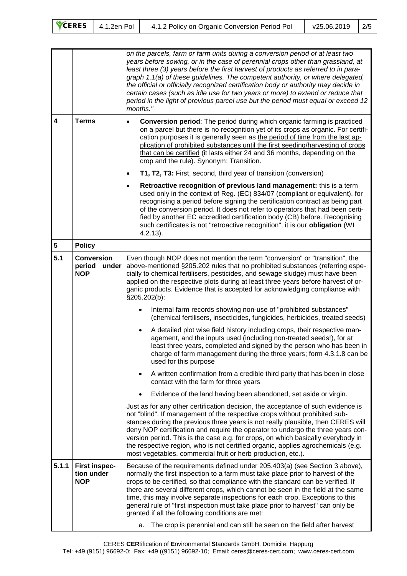| CERES 4.1.2en Pol<br>$v25.06.2019$   2/5<br>4.1.2 Policy on Organic Conversion Period Pol |  |
|-------------------------------------------------------------------------------------------|--|
|-------------------------------------------------------------------------------------------|--|

|                         |                                                    | on the parcels, farm or farm units during a conversion period of at least two<br>years before sowing, or in the case of perennial crops other than grassland, at<br>least three (3) years before the first harvest of products as referred to in para-<br>graph 1.1(a) of these guidelines. The competent authority, or where delegated,<br>the official or officially recognized certification body or authority may decide in<br>certain cases (such as idle use for two years or more) to extend or reduce that<br>period in the light of previous parcel use but the period must equal or exceed 12<br>months."                           |  |  |  |  |
|-------------------------|----------------------------------------------------|-----------------------------------------------------------------------------------------------------------------------------------------------------------------------------------------------------------------------------------------------------------------------------------------------------------------------------------------------------------------------------------------------------------------------------------------------------------------------------------------------------------------------------------------------------------------------------------------------------------------------------------------------|--|--|--|--|
| $\overline{\mathbf{4}}$ | <b>Terms</b>                                       | <b>Conversion period:</b> The period during which organic farming is practiced<br>$\bullet$<br>on a parcel but there is no recognition yet of its crops as organic. For certifi-<br>cation purposes it is generally seen as the period of time from the last ap-<br>plication of prohibited substances until the first seeding/harvesting of crops<br>that can be certified (it lasts either 24 and 36 months, depending on the<br>crop and the rule). Synonym: Transition.                                                                                                                                                                   |  |  |  |  |
|                         |                                                    | T1, T2, T3: First, second, third year of transition (conversion)<br>$\bullet$                                                                                                                                                                                                                                                                                                                                                                                                                                                                                                                                                                 |  |  |  |  |
|                         |                                                    | Retroactive recognition of previous land management: this is a term<br>$\bullet$<br>used only in the context of Reg. (EC) 834/07 (compliant or equivalent), for<br>recognising a period before signing the certification contract as being part<br>of the conversion period. It does not refer to operators that had been certi-<br>fied by another EC accredited certification body (CB) before. Recognising<br>such certificates is not "retroactive recognition", it is our obligation (WI<br>$4.2.13$ ).                                                                                                                                  |  |  |  |  |
| $\overline{\mathbf{5}}$ | <b>Policy</b>                                      |                                                                                                                                                                                                                                                                                                                                                                                                                                                                                                                                                                                                                                               |  |  |  |  |
| 5.1                     | <b>Conversion</b><br>period<br>under<br><b>NOP</b> | Even though NOP does not mention the term "conversion" or "transition", the<br>above-mentioned §205.202 rules that no prohibited substances (referring espe-<br>cially to chemical fertilisers, pesticides, and sewage sludge) must have been<br>applied on the respective plots during at least three years before harvest of or-<br>ganic products. Evidence that is accepted for acknowledging compliance with<br>§205.202(b):                                                                                                                                                                                                             |  |  |  |  |
|                         |                                                    | Internal farm records showing non-use of "prohibited substances"<br>(chemical fertilisers, insecticides, fungicides, herbicides, treated seeds)                                                                                                                                                                                                                                                                                                                                                                                                                                                                                               |  |  |  |  |
|                         |                                                    | A detailed plot wise field history including crops, their respective man-<br>$\bullet$<br>agement, and the inputs used (including non-treated seeds!), for at<br>least three years, completed and signed by the person who has been in<br>charge of farm management during the three years; form 4.3.1.8 can be<br>used for this purpose                                                                                                                                                                                                                                                                                                      |  |  |  |  |
|                         |                                                    | A written confirmation from a credible third party that has been in close<br>$\bullet$<br>contact with the farm for three years                                                                                                                                                                                                                                                                                                                                                                                                                                                                                                               |  |  |  |  |
|                         |                                                    | Evidence of the land having been abandoned, set aside or virgin.                                                                                                                                                                                                                                                                                                                                                                                                                                                                                                                                                                              |  |  |  |  |
|                         |                                                    | Just as for any other certification decision, the acceptance of such evidence is<br>not "blind". If management of the respective crops without prohibited sub-<br>stances during the previous three years is not really plausible, then CERES will<br>deny NOP certification and require the operator to undergo the three years con-<br>version period. This is the case e.g. for crops, on which basically everybody in<br>the respective region, who is not certified organic, applies agrochemicals (e.g.<br>most vegetables, commercial fruit or herb production, etc.).                                                                 |  |  |  |  |
| 5.1.1                   | <b>First inspec-</b><br>tion under<br><b>NOP</b>   | Because of the requirements defined under 205.403(a) (see Section 3 above),<br>normally the first inspection to a farm must take place prior to harvest of the<br>crops to be certified, so that compliance with the standard can be verified. If<br>there are several different crops, which cannot be seen in the field at the same<br>time, this may involve separate inspections for each crop. Exceptions to this<br>general rule of "first inspection must take place prior to harvest" can only be<br>granted if all the following conditions are met:<br>The crop is perennial and can still be seen on the field after harvest<br>a. |  |  |  |  |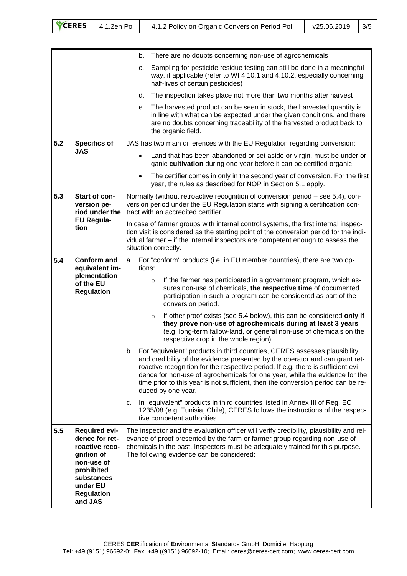| CERES 4.1.2en Pol<br>$\sqrt{25.06.2019}$   3/5<br>4.1.2 Policy on Organic Conversion Period Pol |
|-------------------------------------------------------------------------------------------------|
|-------------------------------------------------------------------------------------------------|

|     |                                                                                                                                                              | b. There are no doubts concerning non-use of agrochemicals                                                                                                                                                                                                                                                                                                                                                                                   |
|-----|--------------------------------------------------------------------------------------------------------------------------------------------------------------|----------------------------------------------------------------------------------------------------------------------------------------------------------------------------------------------------------------------------------------------------------------------------------------------------------------------------------------------------------------------------------------------------------------------------------------------|
|     |                                                                                                                                                              | Sampling for pesticide residue testing can still be done in a meaningful<br>C.                                                                                                                                                                                                                                                                                                                                                               |
|     |                                                                                                                                                              | way, if applicable (refer to WI 4.10.1 and 4.10.2, especially concerning<br>half-lives of certain pesticides)                                                                                                                                                                                                                                                                                                                                |
|     |                                                                                                                                                              | The inspection takes place not more than two months after harvest<br>d.                                                                                                                                                                                                                                                                                                                                                                      |
|     |                                                                                                                                                              | The harvested product can be seen in stock, the harvested quantity is<br>е.<br>in line with what can be expected under the given conditions, and there<br>are no doubts concerning traceability of the harvested product back to<br>the organic field.                                                                                                                                                                                       |
| 5.2 | <b>Specifics of</b>                                                                                                                                          | JAS has two main differences with the EU Regulation regarding conversion:                                                                                                                                                                                                                                                                                                                                                                    |
|     | <b>JAS</b>                                                                                                                                                   | Land that has been abandoned or set aside or virgin, must be under or-<br>$\bullet$<br>ganic cultivation during one year before it can be certified organic                                                                                                                                                                                                                                                                                  |
|     |                                                                                                                                                              | The certifier comes in only in the second year of conversion. For the first<br>$\bullet$<br>year, the rules as described for NOP in Section 5.1 apply.                                                                                                                                                                                                                                                                                       |
| 5.3 | Start of con-<br>version pe-<br>riod under the                                                                                                               | Normally (without retroactive recognition of conversion period – see 5.4), con-<br>version period under the EU Regulation starts with signing a certification con-<br>tract with an accredited certifier.                                                                                                                                                                                                                                    |
|     | <b>EU Regula-</b><br>tion                                                                                                                                    | In case of farmer groups with internal control systems, the first internal inspec-<br>tion visit is considered as the starting point of the conversion period for the indi-<br>vidual farmer - if the internal inspectors are competent enough to assess the<br>situation correctly.                                                                                                                                                         |
| 5.4 | <b>Conform and</b>                                                                                                                                           | For "conform" products (i.e. in EU member countries), there are two op-<br>a.<br>tions:                                                                                                                                                                                                                                                                                                                                                      |
|     | equivalent im-<br>plementation<br>of the EU<br><b>Regulation</b>                                                                                             | If the farmer has participated in a government program, which as-<br>$\circ$<br>sures non-use of chemicals, the respective time of documented<br>participation in such a program can be considered as part of the<br>conversion period.                                                                                                                                                                                                      |
|     |                                                                                                                                                              | If other proof exists (see 5.4 below), this can be considered only if<br>$\circ$<br>they prove non-use of agrochemicals during at least 3 years<br>(e.g. long-term fallow-land, or general non-use of chemicals on the<br>respective crop in the whole region).                                                                                                                                                                              |
|     |                                                                                                                                                              | For "equivalent" products in third countries, CERES assesses plausibility<br>b.<br>and credibility of the evidence presented by the operator and can grant ret-<br>roactive recognition for the respective period. If e.g. there is sufficient evi-<br>dence for non-use of agrochemicals for one year, while the evidence for the<br>time prior to this year is not sufficient, then the conversion period can be re-<br>duced by one year. |
|     |                                                                                                                                                              | In "equivalent" products in third countries listed in Annex III of Reg. EC<br>c.<br>1235/08 (e.g. Tunisia, Chile), CERES follows the instructions of the respec-<br>tive competent authorities.                                                                                                                                                                                                                                              |
| 5.5 | <b>Required evi-</b><br>dence for ret-<br>roactive reco-<br>gnition of<br>non-use of<br>prohibited<br>substances<br>under EU<br><b>Regulation</b><br>and JAS | The inspector and the evaluation officer will verify credibility, plausibility and rel-<br>evance of proof presented by the farm or farmer group regarding non-use of<br>chemicals in the past, Inspectors must be adequately trained for this purpose.<br>The following evidence can be considered:                                                                                                                                         |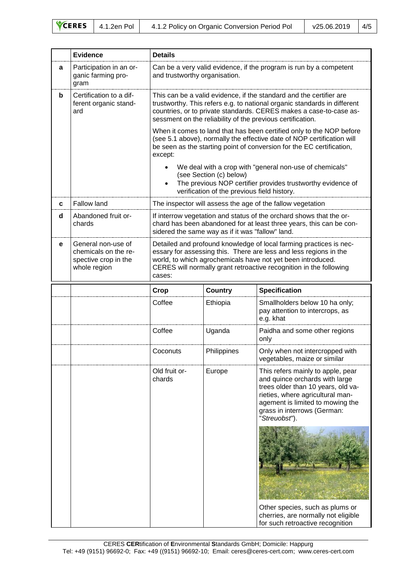| CERES 4.1.2en Pol<br>4.1.2 Policy on Organic Conversion Period Pol<br>v25.06.2019 | 4/5 |
|-----------------------------------------------------------------------------------|-----|
|-----------------------------------------------------------------------------------|-----|

|   | <b>Evidence</b>                                                                    | <b>Details</b>                                                                                                                                                                                                                                                                         |                |                                                                                                                                                                                                                                   |  |
|---|------------------------------------------------------------------------------------|----------------------------------------------------------------------------------------------------------------------------------------------------------------------------------------------------------------------------------------------------------------------------------------|----------------|-----------------------------------------------------------------------------------------------------------------------------------------------------------------------------------------------------------------------------------|--|
| a | Participation in an or-<br>ganic farming pro-<br>gram                              | Can be a very valid evidence, if the program is run by a competent<br>and trustworthy organisation.                                                                                                                                                                                    |                |                                                                                                                                                                                                                                   |  |
| b | Certification to a dif-<br>ferent organic stand-<br>ard                            | This can be a valid evidence, if the standard and the certifier are<br>trustworthy. This refers e.g. to national organic standards in different<br>countries, or to private standards. CERES makes a case-to-case as-<br>sessment on the reliability of the previous certification.    |                |                                                                                                                                                                                                                                   |  |
|   |                                                                                    | When it comes to land that has been certified only to the NOP before<br>(see 5.1 above), normally the effective date of NOP certification will<br>be seen as the starting point of conversion for the EC certification,<br>except:                                                     |                |                                                                                                                                                                                                                                   |  |
|   |                                                                                    | We deal with a crop with "general non-use of chemicals"<br>(see Section (c) below)<br>The previous NOP certifier provides trustworthy evidence of<br>verification of the previous field history.                                                                                       |                |                                                                                                                                                                                                                                   |  |
| C | <b>Fallow land</b>                                                                 |                                                                                                                                                                                                                                                                                        |                | The inspector will assess the age of the fallow vegetation                                                                                                                                                                        |  |
| d | Abandoned fruit or-<br>chards                                                      | If interrow vegetation and status of the orchard shows that the or-<br>chard has been abandoned for at least three years, this can be con-<br>sidered the same way as if it was "fallow" land.                                                                                         |                |                                                                                                                                                                                                                                   |  |
| е | General non-use of<br>chemicals on the re-<br>spective crop in the<br>whole region | Detailed and profound knowledge of local farming practices is nec-<br>essary for assessing this. There are less and less regions in the<br>world, to which agrochemicals have not yet been introduced.<br>CERES will normally grant retroactive recognition in the following<br>cases: |                |                                                                                                                                                                                                                                   |  |
|   |                                                                                    | Crop                                                                                                                                                                                                                                                                                   | <b>Country</b> | <b>Specification</b>                                                                                                                                                                                                              |  |
|   |                                                                                    | Coffee                                                                                                                                                                                                                                                                                 | Ethiopia       | Smallholders below 10 ha only;<br>pay attention to intercrops, as<br>e.g. khat                                                                                                                                                    |  |
|   |                                                                                    | Coffee                                                                                                                                                                                                                                                                                 | Uganda         | Paidha and some other regions<br>only                                                                                                                                                                                             |  |
|   |                                                                                    | Coconuts                                                                                                                                                                                                                                                                               | Philippines    | Only when not intercropped with<br>vegetables, maize or similar                                                                                                                                                                   |  |
|   |                                                                                    | Old fruit or-<br>chards                                                                                                                                                                                                                                                                | Europe         | This refers mainly to apple, pear<br>and quince orchards with large<br>trees older than 10 years, old va-<br>rieties, where agricultural man-<br>agement is limited to mowing the<br>grass in interrows (German:<br>"Streuobsť"). |  |
|   |                                                                                    |                                                                                                                                                                                                                                                                                        |                |                                                                                                                                                                                                                                   |  |
|   |                                                                                    |                                                                                                                                                                                                                                                                                        |                | Other species, such as plums or<br>cherries, are normally not eligible<br>for such retroactive recognition                                                                                                                        |  |